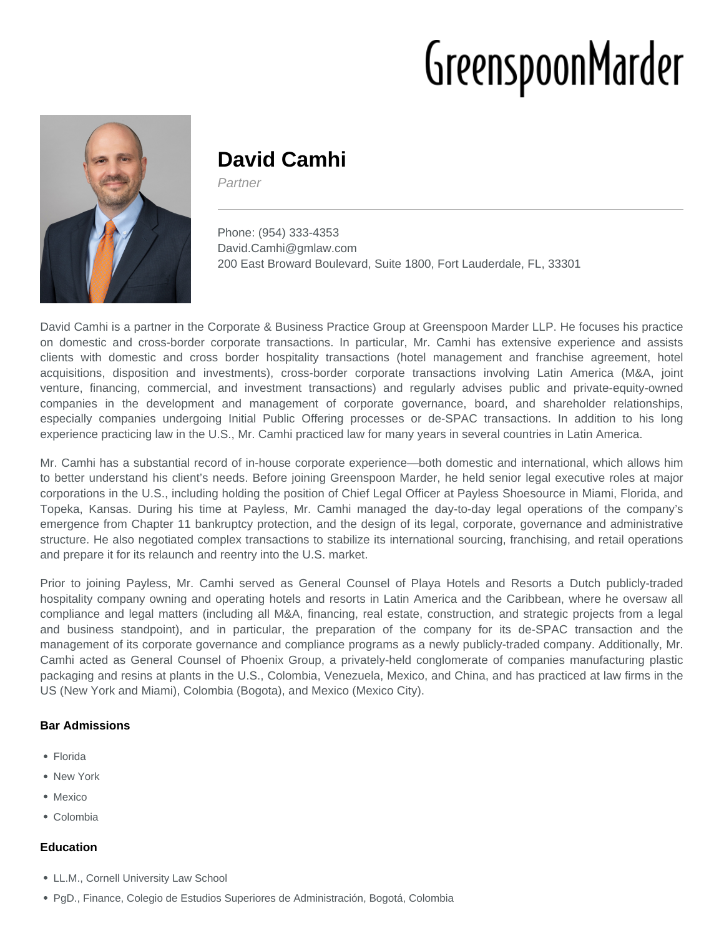# GreenspoonMarder



# **David Camhi**

Partner

Phone: (954) 333-4353 David.Camhi@gmlaw.com 200 East Broward Boulevard, Suite 1800, Fort Lauderdale, FL, 33301

David Camhi is a partner in the Corporate & Business Practice Group at Greenspoon Marder LLP. He focuses his practice on domestic and cross-border corporate transactions. In particular, Mr. Camhi has extensive experience and assists clients with domestic and cross border hospitality transactions (hotel management and franchise agreement, hotel acquisitions, disposition and investments), cross-border corporate transactions involving Latin America (M&A, joint venture, financing, commercial, and investment transactions) and regularly advises public and private-equity-owned companies in the development and management of corporate governance, board, and shareholder relationships, especially companies undergoing Initial Public Offering processes or de-SPAC transactions. In addition to his long experience practicing law in the U.S., Mr. Camhi practiced law for many years in several countries in Latin America.

Mr. Camhi has a substantial record of in-house corporate experience—both domestic and international, which allows him to better understand his client's needs. Before joining Greenspoon Marder, he held senior legal executive roles at major corporations in the U.S., including holding the position of Chief Legal Officer at Payless Shoesource in Miami, Florida, and Topeka, Kansas. During his time at Payless, Mr. Camhi managed the day-to-day legal operations of the company's emergence from Chapter 11 bankruptcy protection, and the design of its legal, corporate, governance and administrative structure. He also negotiated complex transactions to stabilize its international sourcing, franchising, and retail operations and prepare it for its relaunch and reentry into the U.S. market.

Prior to joining Payless, Mr. Camhi served as General Counsel of Playa Hotels and Resorts a Dutch publicly-traded hospitality company owning and operating hotels and resorts in Latin America and the Caribbean, where he oversaw all compliance and legal matters (including all M&A, financing, real estate, construction, and strategic projects from a legal and business standpoint), and in particular, the preparation of the company for its de-SPAC transaction and the management of its corporate governance and compliance programs as a newly publicly-traded company. Additionally, Mr. Camhi acted as General Counsel of Phoenix Group, a privately-held conglomerate of companies manufacturing plastic packaging and resins at plants in the U.S., Colombia, Venezuela, Mexico, and China, and has practiced at law firms in the US (New York and Miami), Colombia (Bogota), and Mexico (Mexico City).

# **Bar Admissions**

- Florida
- New York
- Mexico
- Colombia

# **Education**

- LL.M., Cornell University Law School
- PgD., Finance, Colegio de Estudios Superiores de Administración, Bogotá, Colombia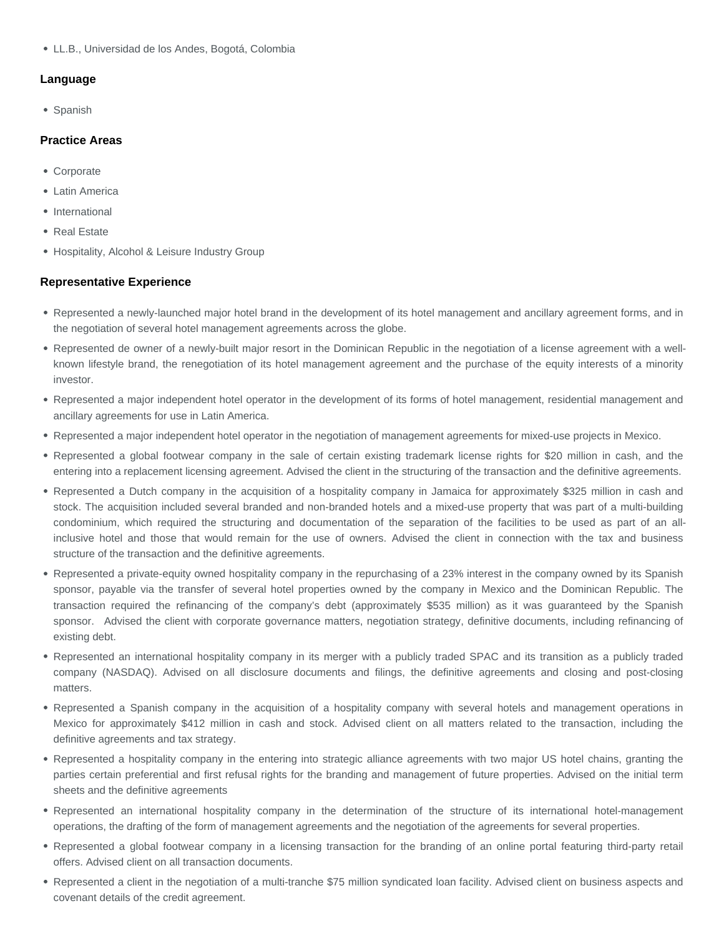LL.B., Universidad de los Andes, Bogotá, Colombia

#### **Language**

• Spanish

#### **Practice Areas**

- Corporate
- Latin America
- International
- Real Estate
- Hospitality, Alcohol & Leisure Industry Group

#### **Representative Experience**

- Represented a newly-launched major hotel brand in the development of its hotel management and ancillary agreement forms, and in the negotiation of several hotel management agreements across the globe.
- Represented de owner of a newly-built major resort in the Dominican Republic in the negotiation of a license agreement with a wellknown lifestyle brand, the renegotiation of its hotel management agreement and the purchase of the equity interests of a minority investor.
- Represented a major independent hotel operator in the development of its forms of hotel management, residential management and ancillary agreements for use in Latin America.
- Represented a major independent hotel operator in the negotiation of management agreements for mixed-use projects in Mexico.
- Represented a global footwear company in the sale of certain existing trademark license rights for \$20 million in cash, and the entering into a replacement licensing agreement. Advised the client in the structuring of the transaction and the definitive agreements.
- Represented a Dutch company in the acquisition of a hospitality company in Jamaica for approximately \$325 million in cash and stock. The acquisition included several branded and non-branded hotels and a mixed-use property that was part of a multi-building condominium, which required the structuring and documentation of the separation of the facilities to be used as part of an allinclusive hotel and those that would remain for the use of owners. Advised the client in connection with the tax and business structure of the transaction and the definitive agreements.
- Represented a private-equity owned hospitality company in the repurchasing of a 23% interest in the company owned by its Spanish sponsor, payable via the transfer of several hotel properties owned by the company in Mexico and the Dominican Republic. The transaction required the refinancing of the company's debt (approximately \$535 million) as it was guaranteed by the Spanish sponsor. Advised the client with corporate governance matters, negotiation strategy, definitive documents, including refinancing of existing debt.
- Represented an international hospitality company in its merger with a publicly traded SPAC and its transition as a publicly traded company (NASDAQ). Advised on all disclosure documents and filings, the definitive agreements and closing and post-closing matters.
- Represented a Spanish company in the acquisition of a hospitality company with several hotels and management operations in Mexico for approximately \$412 million in cash and stock. Advised client on all matters related to the transaction, including the definitive agreements and tax strategy.
- Represented a hospitality company in the entering into strategic alliance agreements with two major US hotel chains, granting the parties certain preferential and first refusal rights for the branding and management of future properties. Advised on the initial term sheets and the definitive agreements
- Represented an international hospitality company in the determination of the structure of its international hotel-management operations, the drafting of the form of management agreements and the negotiation of the agreements for several properties.
- Represented a global footwear company in a licensing transaction for the branding of an online portal featuring third-party retail offers. Advised client on all transaction documents.
- Represented a client in the negotiation of a multi-tranche \$75 million syndicated loan facility. Advised client on business aspects and covenant details of the credit agreement.